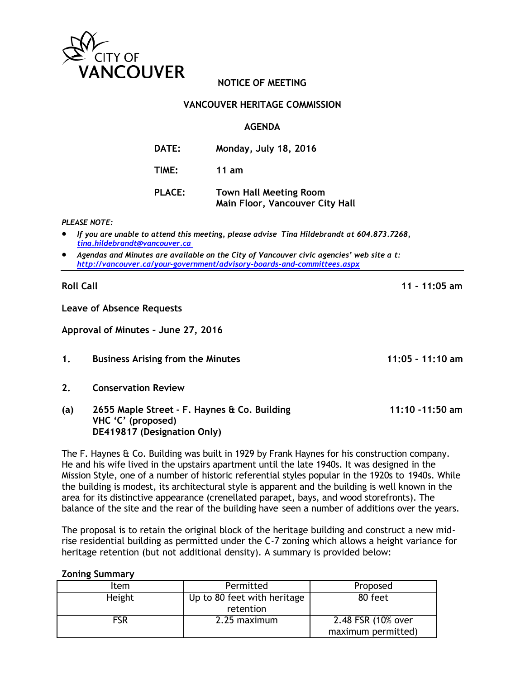

# **NOTICE OF MEETING**

# **VANCOUVER HERITAGE COMMISSION**

# **AGENDA**

| <b>DATE:</b>  | Monday, July 18, 2016                                            |
|---------------|------------------------------------------------------------------|
| <b>TIME:</b>  | 11 am                                                            |
| <b>PLACE:</b> | <b>Town Hall Meeting Room</b><br>Main Floor, Vancouver City Hall |

### *PLEASE NOTE:*

- *If you are unable to attend this meeting, please advise Tina Hildebrandt at 604.873.7268, [tina.hildebrandt@vancouver.ca](mailto:tina.hildebrandt@vancouver.ca)*
- *Agendas and Minutes are available on the City of Vancouver civic agencies' web site a t: <http://vancouver.ca/your-government/advisory-boards-and-committees.aspx>*

**Roll Call 11 – 11:05 am**

**Leave of Absence Requests**

**Approval of Minutes – June 27, 2016**

- **1. Business Arising from the Minutes 11:05 – 11:10 am**
- **2. Conservation Review**
- **(a) 2655 Maple Street - F. Haynes & Co. Building 11:10 -11:50 am VHC 'C' (proposed) DE419817 (Designation Only)**

The F. Haynes & Co. Building was built in 1929 by Frank Haynes for his construction company. He and his wife lived in the upstairs apartment until the late 1940s. It was designed in the Mission Style, one of a number of historic referential styles popular in the 1920s to 1940s. While the building is modest, its architectural style is apparent and the building is well known in the area for its distinctive appearance (crenellated parapet, bays, and wood storefronts). The balance of the site and the rear of the building have seen a number of additions over the years.

The proposal is to retain the original block of the heritage building and construct a new midrise residential building as permitted under the C-7 zoning which allows a height variance for heritage retention (but not additional density). A summary is provided below:

### **Zoning Summary**

| Item       | Permitted                                | Proposed                                 |
|------------|------------------------------------------|------------------------------------------|
| Height     | Up to 80 feet with heritage<br>retention | 80 feet                                  |
| <b>FSR</b> | 2.25 maximum                             | 2.48 FSR (10% over<br>maximum permitted) |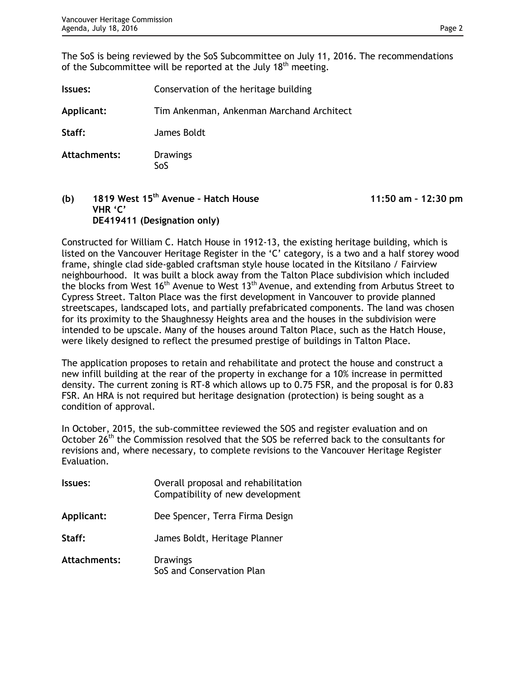The SoS is being reviewed by the SoS Subcommittee on July 11, 2016. The recommendations of the Subcommittee will be reported at the July 18<sup>th</sup> meeting.

| Issues:      | Conservation of the heritage building     |
|--------------|-------------------------------------------|
| Applicant:   | Tim Ankenman, Ankenman Marchand Architect |
| Staff:       | James Boldt                               |
| Attachments: | <b>Drawings</b><br>SoS                    |

**(b) 1819 West 15th Avenue – Hatch House 11:50 am – 12:30 pm VHR 'C' DE419411 (Designation only)**

Constructed for William C. Hatch House in 1912-13, the existing heritage building, which is listed on the Vancouver Heritage Register in the 'C' category, is a two and a half storey wood frame, shingle clad side-gabled craftsman style house located in the Kitsilano / Fairview neighbourhood. It was built a block away from the Talton Place subdivision which included the blocks from West  $16<sup>th</sup>$  Avenue to West  $13<sup>th</sup>$  Avenue, and extending from Arbutus Street to Cypress Street. Talton Place was the first development in Vancouver to provide planned streetscapes, landscaped lots, and partially prefabricated components. The land was chosen for its proximity to the Shaughnessy Heights area and the houses in the subdivision were intended to be upscale. Many of the houses around Talton Place, such as the Hatch House, were likely designed to reflect the presumed prestige of buildings in Talton Place.

The application proposes to retain and rehabilitate and protect the house and construct a new infill building at the rear of the property in exchange for a 10% increase in permitted density. The current zoning is RT-8 which allows up to 0.75 FSR, and the proposal is for 0.83 FSR. An HRA is not required but heritage designation (protection) is being sought as a condition of approval.

In October, 2015, the sub-committee reviewed the SOS and register evaluation and on October 26<sup>th</sup> the Commission resolved that the SOS be referred back to the consultants for revisions and, where necessary, to complete revisions to the Vancouver Heritage Register Evaluation.

| <b>Issues:</b> | Overall proposal and rehabilitation<br>Compatibility of new development |  |
|----------------|-------------------------------------------------------------------------|--|
| Applicant:     | Dee Spencer, Terra Firma Design                                         |  |
| Staff:         | James Boldt, Heritage Planner                                           |  |
| Attachments:   | <b>Drawings</b><br>SoS and Conservation Plan                            |  |